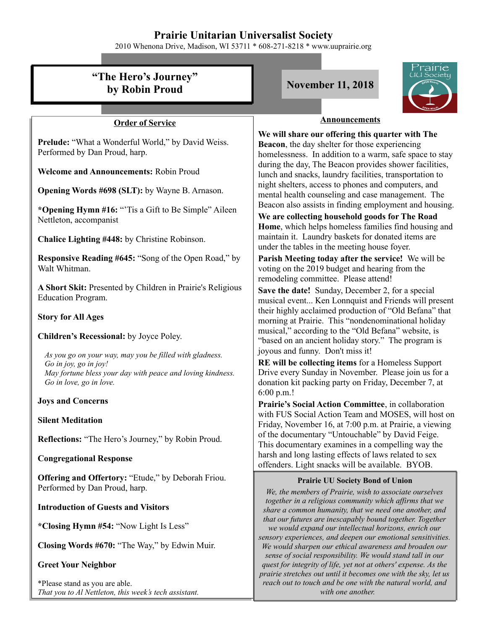# **Prairie Unitarian Universalist Society**

2010 Whenona Drive, Madison, WI 53711 \* 608-271-8218 \* www.uuprairie.org

#### rairie **"The Hero's Journey" by Robin Proud November 11, 2018 Announcements Order of Service We will share our offering this quarter with The Prelude:** "What a Wonderful World," by David Weiss. **Beacon**, the day shelter for those experiencing Performed by Dan Proud, harp. homelessness. In addition to a warm, safe space to stay during the day, The Beacon provides shower facilities, **Welcome and Announcements:** Robin Proud lunch and snacks, laundry facilities, transportation to night shelters, access to phones and computers, and **Opening Words #698 (SLT):** by Wayne B. Arnason. mental health counseling and case management. The Beacon also assists in finding employment and housing. **\*Opening Hymn #16:** "'Tis a Gift to Be Simple" Aileen **We are collecting household goods for The Road**  Nettleton, accompanist **Home**, which helps homeless families find housing and maintain it. Laundry baskets for donated items are **Chalice Lighting #448:** by Christine Robinson. under the tables in the meeting house foyer. **Parish Meeting today after the service!** We will be **Responsive Reading #645:** "Song of the Open Road," by Walt Whitman. voting on the 2019 budget and hearing from the remodeling committee. Please attend! **A Short Skit:** Presented by Children in Prairie's Religious **Save the date!** Sunday, December 2, for a special Education Program. musical event... Ken Lonnquist and Friends will present their highly acclaimed production of "Old Befana" that **Story for All Ages** morning at Prairie. This "nondenominational holiday musical," according to the "Old Befana" website, is **Children's Recessional:** by Joyce Poley. "based on an ancient holiday story." The program is joyous and funny. Don't miss it! *As you go on your way, may you be filled with gladness.* **RE will be collecting items** for a Homeless Support *Go in joy, go in joy!* Drive every Sunday in November. Please join us for a *May fortune bless your day with peace and loving kindness. Go in love, go in love.* donation kit packing party on Friday, December 7, at 6:00 p.m.! **Joys and Concerns Prairie's Social Action Committee**, in collaboration with FUS Social Action Team and MOSES, will host on **Silent Meditation** Friday, November 16, at 7:00 p.m. at Prairie, a viewing of the documentary "Untouchable" by David Feige. **Reflections:** "The Hero's Journey," by Robin Proud. This documentary examines in a compelling way the harsh and long lasting effects of laws related to sex **Congregational Response** offenders. Light snacks will be available. BYOB. **Offering and Offertory:** "Etude," by Deborah Friou. **Prairie UU Society Bond of Union** Performed by Dan Proud, harp. *We, the members of Prairie, wish to associate ourselves together in a religious community which affirms that we* **Introduction of Guests and Visitors** *share a common humanity, that we need one another, and that our futures are inescapably bound together. Together* **\*Closing Hymn #54:** "Now Light Is Less" *we would expand our intellectual horizons, enrich our sensory experiences, and deepen our emotional sensitivities.* **Closing Words #670:** "The Way," by Edwin Muir. *We would sharpen our ethical awareness and broaden our sense of social responsibility. We would stand tall in our* **Greet Your Neighbor** *quest for integrity of life, yet not at others' expense. As the prairie stretches out until it becomes one with the sky, let us* \*Please stand as you are able.

*That you to Al Nettleton, this week's tech assistant.*

*reach out to touch and be one with the natural world, and with one another.*